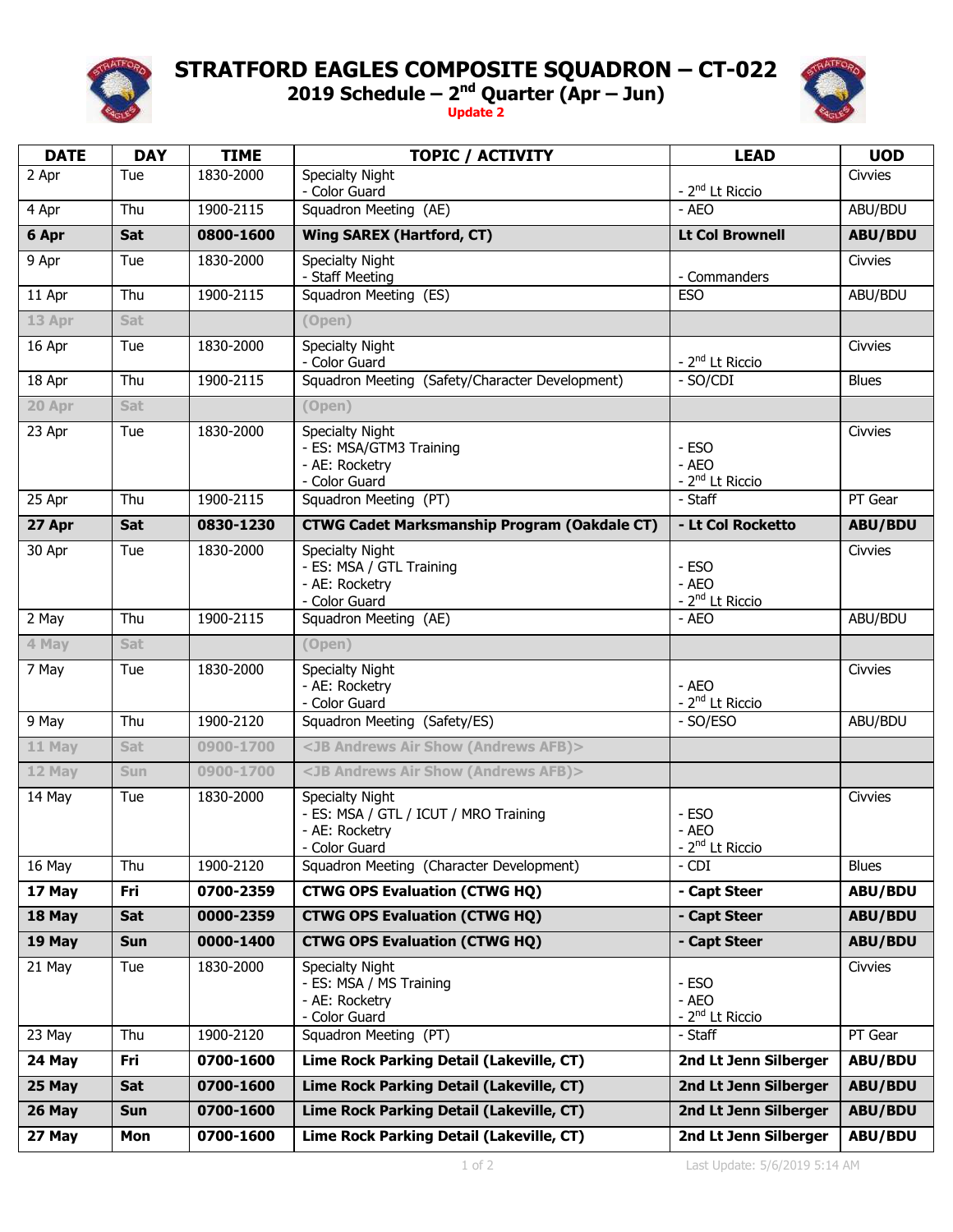

## **STRATFORD EAGLES COMPOSITE SQUADRON – CT-022**

**2019 Schedule – 2 nd Quarter (Apr – Jun)**

**Update 2**



| <b>DATE</b> | <b>DAY</b> | <b>TIME</b> | <b>TOPIC / ACTIVITY</b>                                                                            | <b>LEAD</b>                                   | <b>UOD</b>     |
|-------------|------------|-------------|----------------------------------------------------------------------------------------------------|-----------------------------------------------|----------------|
| 2 Apr       | Tue        | 1830-2000   | <b>Specialty Night</b><br>- Color Guard                                                            | - 2 <sup>nd</sup> Lt Riccio                   | Civvies        |
| 4 Apr       | Thu        | 1900-2115   | Squadron Meeting (AE)                                                                              | - AEO                                         | ABU/BDU        |
| 6 Apr       | Sat        | 0800-1600   | <b>Wing SAREX (Hartford, CT)</b>                                                                   | <b>Lt Col Brownell</b>                        | <b>ABU/BDU</b> |
| 9 Apr       | Tue        | 1830-2000   | <b>Specialty Night</b><br>- Staff Meeting                                                          | - Commanders                                  | Civvies        |
| 11 Apr      | Thu        | 1900-2115   | Squadron Meeting (ES)                                                                              | <b>ESO</b>                                    | ABU/BDU        |
| 13 Apr      | Sat        |             | (Open)                                                                                             |                                               |                |
| 16 Apr      | Tue        | 1830-2000   | <b>Specialty Night</b><br>- Color Guard                                                            | - 2 <sup>nd</sup> Lt Riccio                   | Civvies        |
| 18 Apr      | Thu        | 1900-2115   | Squadron Meeting (Safety/Character Development)                                                    | - SO/CDI                                      | <b>Blues</b>   |
| 20 Apr      | Sat        |             | (Open)                                                                                             |                                               |                |
| 23 Apr      | Tue        | 1830-2000   | <b>Specialty Night</b><br>- ES: MSA/GTM3 Training<br>- AE: Rocketry<br>- Color Guard               | - ESO<br>- AEO<br>- 2 <sup>nd</sup> Lt Riccio | Civvies        |
| 25 Apr      | Thu        | 1900-2115   | Squadron Meeting (PT)                                                                              | - Staff                                       | PT Gear        |
| 27 Apr      | Sat        | 0830-1230   | <b>CTWG Cadet Marksmanship Program (Oakdale CT)</b>                                                | - Lt Col Rocketto                             | <b>ABU/BDU</b> |
| 30 Apr      | Tue        | 1830-2000   | <b>Specialty Night</b><br>- ES: MSA / GTL Training<br>- AE: Rocketry<br>- Color Guard              | - ESO<br>- AEO<br>- 2 <sup>nd</sup> Lt Riccio | Civvies        |
| 2 May       | Thu        | 1900-2115   | Squadron Meeting (AE)                                                                              | - AEO                                         | ABU/BDU        |
| 4 May       | Sat        |             | (Open)                                                                                             |                                               |                |
| 7 May       | Tue        | 1830-2000   | <b>Specialty Night</b><br>- AE: Rocketry<br>- Color Guard                                          | - AEO<br>- 2 <sup>nd</sup> Lt Riccio          | Civvies        |
| 9 May       | Thu        | 1900-2120   | Squadron Meeting (Safety/ES)                                                                       | - SO/ESO                                      | ABU/BDU        |
| 11 May      | Sat        | 0900-1700   | <jb (andrews="" afb)="" air="" andrews="" show=""></jb>                                            |                                               |                |
| 12 May      | Sun        | 0900-1700   | <jb (andrews="" afb)="" air="" andrews="" show=""></jb>                                            |                                               |                |
| 14 May      | Tue        | 1830-2000   | <b>Specialty Night</b><br>- ES: MSA / GTL / ICUT / MRO Training<br>- AE: Rocketry<br>- Color Guard | - ESO<br>- AEO<br>- 2 <sup>nd</sup> Lt Riccio | Civvies        |
| 16 May      | Thu        | 1900-2120   | Squadron Meeting (Character Development)                                                           | - CDI                                         | <b>Blues</b>   |
| 17 May      | Fri        | 0700-2359   | <b>CTWG OPS Evaluation (CTWG HQ)</b>                                                               | - Capt Steer                                  | <b>ABU/BDU</b> |
| 18 May      | Sat        | 0000-2359   | <b>CTWG OPS Evaluation (CTWG HQ)</b>                                                               | - Capt Steer                                  | <b>ABU/BDU</b> |
| 19 May      | <b>Sun</b> | 0000-1400   | <b>CTWG OPS Evaluation (CTWG HQ)</b>                                                               | - Capt Steer                                  | <b>ABU/BDU</b> |
| 21 May      | Tue        | 1830-2000   | <b>Specialty Night</b><br>- ES: MSA / MS Training<br>- AE: Rocketry<br>- Color Guard               | - ESO<br>- AEO<br>- 2 <sup>nd</sup> Lt Riccio | Civvies        |
| 23 May      | Thu        | 1900-2120   | Squadron Meeting (PT)                                                                              | - Staff                                       | PT Gear        |
| 24 May      | Fri        | 0700-1600   | Lime Rock Parking Detail (Lakeville, CT)                                                           | 2nd Lt Jenn Silberger                         | <b>ABU/BDU</b> |
| 25 May      | Sat        | 0700-1600   | Lime Rock Parking Detail (Lakeville, CT)                                                           | 2nd Lt Jenn Silberger                         | <b>ABU/BDU</b> |
| 26 May      | <b>Sun</b> | 0700-1600   | Lime Rock Parking Detail (Lakeville, CT)                                                           | 2nd Lt Jenn Silberger                         | <b>ABU/BDU</b> |
| 27 May      | Mon        | 0700-1600   | Lime Rock Parking Detail (Lakeville, CT)                                                           | 2nd Lt Jenn Silberger                         | <b>ABU/BDU</b> |